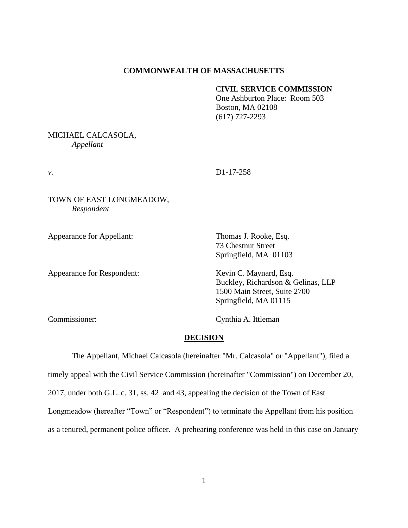#### **COMMONWEALTH OF MASSACHUSETTS**

# C**IVIL SERVICE COMMISSION**

One Ashburton Place: Room 503 Boston, MA 02108 (617) 727-2293

### MICHAEL CALCASOLA, *Appellant*

*v.* D1-17-258

TOWN OF EAST LONGMEADOW, *Respondent*

Appearance for Appellant: Thomas J. Rooke, Esq.

73 Chestnut Street Springfield, MA 01103

Appearance for Respondent: Kevin C. Maynard, Esq.

Buckley, Richardson & Gelinas, LLP 1500 Main Street, Suite 2700 Springfield, MA 01115

Commissioner: Cynthia A. Ittleman

#### **DECISION**

The Appellant, Michael Calcasola (hereinafter "Mr. Calcasola" or "Appellant"), filed a timely appeal with the Civil Service Commission (hereinafter "Commission") on December 20, 2017, under both G.L. c. 31, ss. 42 and 43, appealing the decision of the Town of East Longmeadow (hereafter "Town" or "Respondent") to terminate the Appellant from his position as a tenured, permanent police officer. A prehearing conference was held in this case on January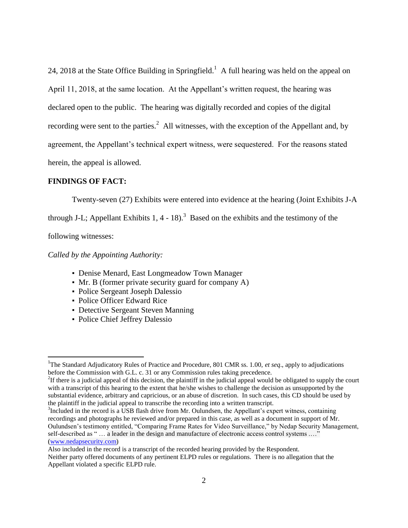24, 2018 at the State Office Building in Springfield.<sup>1</sup> A full hearing was held on the appeal on April 11, 2018, at the same location. At the Appellant's written request, the hearing was declared open to the public. The hearing was digitally recorded and copies of the digital recording were sent to the parties.<sup>2</sup> All witnesses, with the exception of the Appellant and, by agreement, the Appellant's technical expert witness, were sequestered. For the reasons stated herein, the appeal is allowed.

#### **FINDINGS OF FACT:**

Twenty-seven (27) Exhibits were entered into evidence at the hearing (Joint Exhibits J-A

through J-L; Appellant Exhibits 1, 4 - 18).<sup>3</sup> Based on the exhibits and the testimony of the

following witnesses:

 $\overline{\phantom{a}}$ 

*Called by the Appointing Authority:*

- Denise Menard, East Longmeadow Town Manager
- Mr. B (former private security guard for company A)
- Police Sergeant Joseph Dalessio
- Police Officer Edward Rice
- Detective Sergeant Steven Manning
- Police Chief Jeffrey Dalessio

<sup>3</sup>Included in the record is a USB flash drive from Mr. Oulundsen, the Appellant's expert witness, containing recordings and photographs he reviewed and/or prepared in this case, as well as a document in support of Mr. Oulundsen's testimony entitled, "Comparing Frame Rates for Video Surveillance," by Nedap Security Management, self-described as " … a leader in the design and manufacture of electronic access control systems .…" [\(www.nedapsecurity.com\)](http://www.nedapsecurity.com/)

<sup>&</sup>lt;sup>1</sup>The Standard Adjudicatory Rules of Practice and Procedure, 801 CMR ss. 1.00, *et seq.*, apply to adjudications before the Commission with G.L. c. 31 or any Commission rules taking precedence.

<sup>&</sup>lt;sup>2</sup>If there is a judicial appeal of this decision, the plaintiff in the judicial appeal would be obligated to supply the court with a transcript of this hearing to the extent that he/she wishes to challenge the decision as unsupported by the substantial evidence, arbitrary and capricious, or an abuse of discretion. In such cases, this CD should be used by the plaintiff in the judicial appeal to transcribe the recording into a written transcript.

Also included in the record is a transcript of the recorded hearing provided by the Respondent. Neither party offered documents of any pertinent ELPD rules or regulations. There is no allegation that the Appellant violated a specific ELPD rule.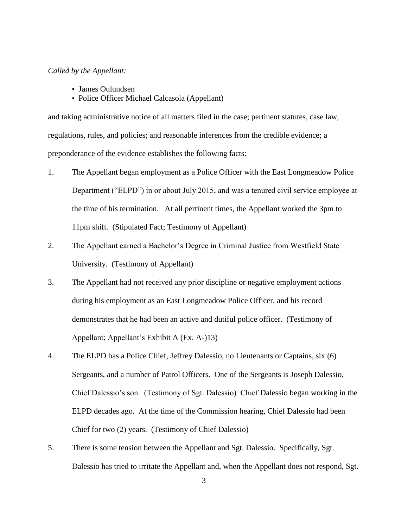### *Called by the Appellant:*

- James Oulundsen
- Police Officer Michael Calcasola (Appellant)

and taking administrative notice of all matters filed in the case; pertinent statutes, case law, regulations, rules, and policies; and reasonable inferences from the credible evidence; a preponderance of the evidence establishes the following facts:

- 1. The Appellant began employment as a Police Officer with the East Longmeadow Police Department ("ELPD") in or about July 2015, and was a tenured civil service employee at the time of his termination. At all pertinent times, the Appellant worked the 3pm to 11pm shift. (Stipulated Fact; Testimony of Appellant)
- 2. The Appellant earned a Bachelor's Degree in Criminal Justice from Westfield State University. (Testimony of Appellant)
- 3. The Appellant had not received any prior discipline or negative employment actions during his employment as an East Longmeadow Police Officer, and his record demonstrates that he had been an active and dutiful police officer. (Testimony of Appellant; Appellant's Exhibit A (Ex. A-)13)
- 4. The ELPD has a Police Chief, Jeffrey Dalessio, no Lieutenants or Captains, six (6) Sergeants, and a number of Patrol Officers. One of the Sergeants is Joseph Dalessio, Chief Dalessio's son. (Testimony of Sgt. Dalessio) Chief Dalessio began working in the ELPD decades ago. At the time of the Commission hearing, Chief Dalessio had been Chief for two (2) years. (Testimony of Chief Dalessio)
- 5. There is some tension between the Appellant and Sgt. Dalessio. Specifically, Sgt. Dalessio has tried to irritate the Appellant and, when the Appellant does not respond, Sgt.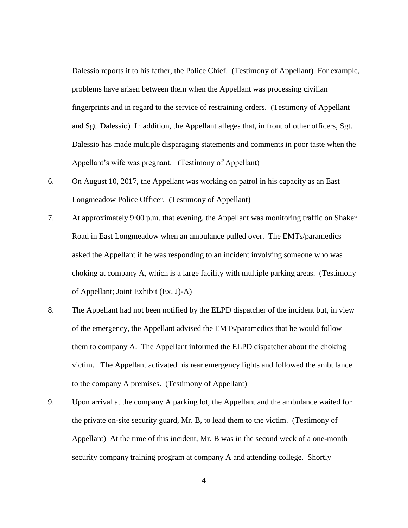Dalessio reports it to his father, the Police Chief. (Testimony of Appellant) For example, problems have arisen between them when the Appellant was processing civilian fingerprints and in regard to the service of restraining orders. (Testimony of Appellant and Sgt. Dalessio) In addition, the Appellant alleges that, in front of other officers, Sgt. Dalessio has made multiple disparaging statements and comments in poor taste when the Appellant's wife was pregnant. (Testimony of Appellant)

- 6. On August 10, 2017, the Appellant was working on patrol in his capacity as an East Longmeadow Police Officer. (Testimony of Appellant)
- 7. At approximately 9:00 p.m. that evening, the Appellant was monitoring traffic on Shaker Road in East Longmeadow when an ambulance pulled over. The EMTs/paramedics asked the Appellant if he was responding to an incident involving someone who was choking at company A, which is a large facility with multiple parking areas. (Testimony of Appellant; Joint Exhibit (Ex. J)-A)
- 8. The Appellant had not been notified by the ELPD dispatcher of the incident but, in view of the emergency, the Appellant advised the EMTs/paramedics that he would follow them to company A. The Appellant informed the ELPD dispatcher about the choking victim. The Appellant activated his rear emergency lights and followed the ambulance to the company A premises. (Testimony of Appellant)
- 9. Upon arrival at the company A parking lot, the Appellant and the ambulance waited for the private on-site security guard, Mr. B, to lead them to the victim. (Testimony of Appellant) At the time of this incident, Mr. B was in the second week of a one-month security company training program at company A and attending college. Shortly

4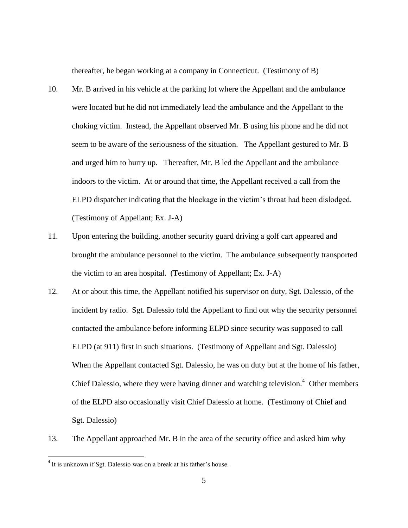thereafter, he began working at a company in Connecticut. (Testimony of B)

- 10. Mr. B arrived in his vehicle at the parking lot where the Appellant and the ambulance were located but he did not immediately lead the ambulance and the Appellant to the choking victim. Instead, the Appellant observed Mr. B using his phone and he did not seem to be aware of the seriousness of the situation. The Appellant gestured to Mr. B and urged him to hurry up. Thereafter, Mr. B led the Appellant and the ambulance indoors to the victim. At or around that time, the Appellant received a call from the ELPD dispatcher indicating that the blockage in the victim's throat had been dislodged. (Testimony of Appellant; Ex. J-A)
- 11. Upon entering the building, another security guard driving a golf cart appeared and brought the ambulance personnel to the victim. The ambulance subsequently transported the victim to an area hospital. (Testimony of Appellant; Ex. J-A)
- 12. At or about this time, the Appellant notified his supervisor on duty, Sgt. Dalessio, of the incident by radio. Sgt. Dalessio told the Appellant to find out why the security personnel contacted the ambulance before informing ELPD since security was supposed to call ELPD (at 911) first in such situations. (Testimony of Appellant and Sgt. Dalessio) When the Appellant contacted Sgt. Dalessio, he was on duty but at the home of his father, Chief Dalessio, where they were having dinner and watching television. $4$  Other members of the ELPD also occasionally visit Chief Dalessio at home. (Testimony of Chief and Sgt. Dalessio)
- 13. The Appellant approached Mr. B in the area of the security office and asked him why

 4 It is unknown if Sgt. Dalessio was on a break at his father's house.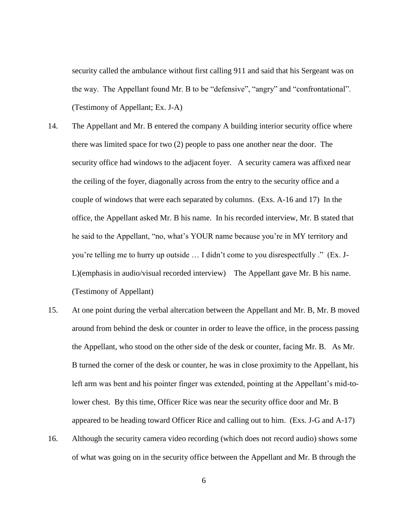security called the ambulance without first calling 911 and said that his Sergeant was on the way. The Appellant found Mr. B to be "defensive", "angry" and "confrontational". (Testimony of Appellant; Ex. J-A)

- 14. The Appellant and Mr. B entered the company A building interior security office where there was limited space for two (2) people to pass one another near the door. The security office had windows to the adjacent foyer. A security camera was affixed near the ceiling of the foyer, diagonally across from the entry to the security office and a couple of windows that were each separated by columns. (Exs. A-16 and 17) In the office, the Appellant asked Mr. B his name. In his recorded interview, Mr. B stated that he said to the Appellant, "no, what's YOUR name because you're in MY territory and you're telling me to hurry up outside … I didn't come to you disrespectfully ." (Ex. J-L)(emphasis in audio/visual recorded interview) The Appellant gave Mr. B his name. (Testimony of Appellant)
- 15. At one point during the verbal altercation between the Appellant and Mr. B, Mr. B moved around from behind the desk or counter in order to leave the office, in the process passing the Appellant, who stood on the other side of the desk or counter, facing Mr. B. As Mr. B turned the corner of the desk or counter, he was in close proximity to the Appellant, his left arm was bent and his pointer finger was extended, pointing at the Appellant's mid-tolower chest. By this time, Officer Rice was near the security office door and Mr. B appeared to be heading toward Officer Rice and calling out to him. (Exs. J-G and A-17)
- 16. Although the security camera video recording (which does not record audio) shows some of what was going on in the security office between the Appellant and Mr. B through the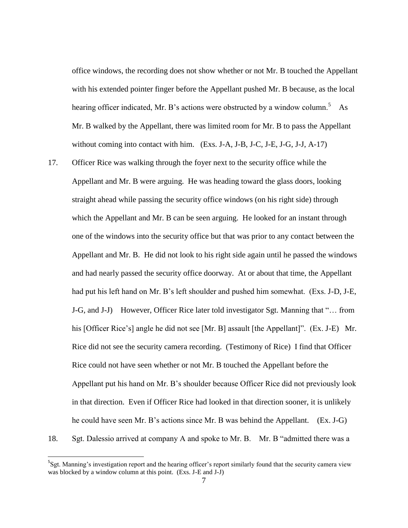office windows, the recording does not show whether or not Mr. B touched the Appellant with his extended pointer finger before the Appellant pushed Mr. B because, as the local hearing officer indicated, Mr. B's actions were obstructed by a window column.<sup>5</sup> As Mr. B walked by the Appellant, there was limited room for Mr. B to pass the Appellant without coming into contact with him. (Exs. J-A, J-B, J-C, J-E, J-G, J-J, A-17)

- 17. Officer Rice was walking through the foyer next to the security office while the Appellant and Mr. B were arguing. He was heading toward the glass doors, looking straight ahead while passing the security office windows (on his right side) through which the Appellant and Mr. B can be seen arguing. He looked for an instant through one of the windows into the security office but that was prior to any contact between the Appellant and Mr. B. He did not look to his right side again until he passed the windows and had nearly passed the security office doorway. At or about that time, the Appellant had put his left hand on Mr. B's left shoulder and pushed him somewhat. (Exs. J-D, J-E, J-G, and J-J) However, Officer Rice later told investigator Sgt. Manning that "… from his [Officer Rice's] angle he did not see [Mr. B] assault [the Appellant]". (Ex. J-E) Mr. Rice did not see the security camera recording. (Testimony of Rice) I find that Officer Rice could not have seen whether or not Mr. B touched the Appellant before the Appellant put his hand on Mr. B's shoulder because Officer Rice did not previously look in that direction. Even if Officer Rice had looked in that direction sooner, it is unlikely he could have seen Mr. B's actions since Mr. B was behind the Appellant. (Ex. J-G)
- 18. Sgt. Dalessio arrived at company A and spoke to Mr. B. Mr. B "admitted there was a

l

<sup>&</sup>lt;sup>5</sup>Sgt. Manning's investigation report and the hearing officer's report similarly found that the security camera view was blocked by a window column at this point. (Exs. J-E and J-J)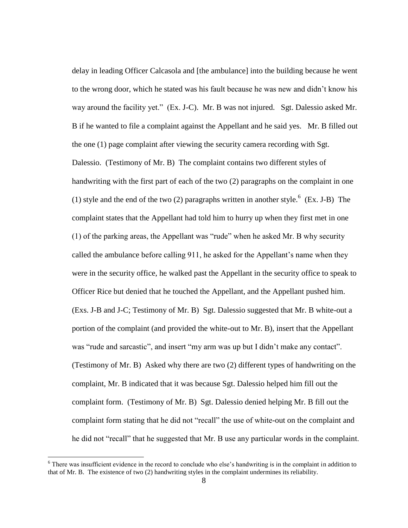delay in leading Officer Calcasola and [the ambulance] into the building because he went to the wrong door, which he stated was his fault because he was new and didn't know his way around the facility yet." (Ex. J-C). Mr. B was not injured. Sgt. Dalessio asked Mr. B if he wanted to file a complaint against the Appellant and he said yes. Mr. B filled out the one (1) page complaint after viewing the security camera recording with Sgt. Dalessio. (Testimony of Mr. B) The complaint contains two different styles of handwriting with the first part of each of the two (2) paragraphs on the complaint in one (1) style and the end of the two (2) paragraphs written in another style.  $6$  (Ex. J-B) The complaint states that the Appellant had told him to hurry up when they first met in one (1) of the parking areas, the Appellant was "rude" when he asked Mr. B why security called the ambulance before calling 911, he asked for the Appellant's name when they were in the security office, he walked past the Appellant in the security office to speak to Officer Rice but denied that he touched the Appellant, and the Appellant pushed him. (Exs. J-B and J-C; Testimony of Mr. B) Sgt. Dalessio suggested that Mr. B white-out a portion of the complaint (and provided the white-out to Mr. B), insert that the Appellant was "rude and sarcastic", and insert "my arm was up but I didn't make any contact". (Testimony of Mr. B) Asked why there are two (2) different types of handwriting on the complaint, Mr. B indicated that it was because Sgt. Dalessio helped him fill out the complaint form. (Testimony of Mr. B) Sgt. Dalessio denied helping Mr. B fill out the complaint form stating that he did not "recall" the use of white-out on the complaint and he did not "recall" that he suggested that Mr. B use any particular words in the complaint.

 $6$  There was insufficient evidence in the record to conclude who else's handwriting is in the complaint in addition to that of Mr. B. The existence of two (2) handwriting styles in the complaint undermines its reliability.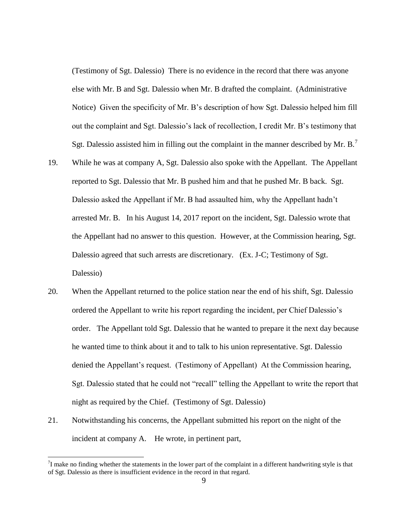(Testimony of Sgt. Dalessio) There is no evidence in the record that there was anyone else with Mr. B and Sgt. Dalessio when Mr. B drafted the complaint. (Administrative Notice) Given the specificity of Mr. B's description of how Sgt. Dalessio helped him fill out the complaint and Sgt. Dalessio's lack of recollection, I credit Mr. B's testimony that Sgt. Dalessio assisted him in filling out the complaint in the manner described by Mr. B.<sup>7</sup>

- 19. While he was at company A, Sgt. Dalessio also spoke with the Appellant. The Appellant reported to Sgt. Dalessio that Mr. B pushed him and that he pushed Mr. B back. Sgt. Dalessio asked the Appellant if Mr. B had assaulted him, why the Appellant hadn't arrested Mr. B. In his August 14, 2017 report on the incident, Sgt. Dalessio wrote that the Appellant had no answer to this question. However, at the Commission hearing, Sgt. Dalessio agreed that such arrests are discretionary. (Ex. J-C; Testimony of Sgt. Dalessio)
- 20. When the Appellant returned to the police station near the end of his shift, Sgt. Dalessio ordered the Appellant to write his report regarding the incident, per Chief Dalessio's order. The Appellant told Sgt. Dalessio that he wanted to prepare it the next day because he wanted time to think about it and to talk to his union representative. Sgt. Dalessio denied the Appellant's request. (Testimony of Appellant) At the Commission hearing, Sgt. Dalessio stated that he could not "recall" telling the Appellant to write the report that night as required by the Chief. (Testimony of Sgt. Dalessio)
- 21. Notwithstanding his concerns, the Appellant submitted his report on the night of the incident at company A. He wrote, in pertinent part,

 $^{7}$ I make no finding whether the statements in the lower part of the complaint in a different handwriting style is that of Sgt. Dalessio as there is insufficient evidence in the record in that regard.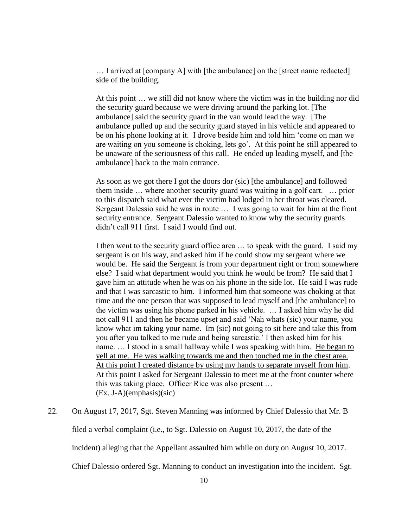… I arrived at [company A] with [the ambulance] on the [street name redacted] side of the building.

At this point … we still did not know where the victim was in the building nor did the security guard because we were driving around the parking lot. [The ambulance] said the security guard in the van would lead the way. [The ambulance pulled up and the security guard stayed in his vehicle and appeared to be on his phone looking at it. I drove beside him and told him 'come on man we are waiting on you someone is choking, lets go'. At this point he still appeared to be unaware of the seriousness of this call. He ended up leading myself, and [the ambulance] back to the main entrance.

As soon as we got there I got the doors dor (sic) [the ambulance] and followed them inside … where another security guard was waiting in a golf cart. … prior to this dispatch said what ever the victim had lodged in her throat was cleared. Sergeant Dalessio said he was in route … I was going to wait for him at the front security entrance. Sergeant Dalessio wanted to know why the security guards didn't call 911 first. I said I would find out.

I then went to the security guard office area … to speak with the guard. I said my sergeant is on his way, and asked him if he could show my sergeant where we would be. He said the Sergeant is from your department right or from somewhere else? I said what department would you think he would be from? He said that I gave him an attitude when he was on his phone in the side lot. He said I was rude and that I was sarcastic to him. I informed him that someone was choking at that time and the one person that was supposed to lead myself and [the ambulance] to the victim was using his phone parked in his vehicle. … I asked him why he did not call 911 and then he became upset and said 'Nah whats (sic) your name, you know what im taking your name. Im (sic) not going to sit here and take this from you after you talked to me rude and being sarcastic.' I then asked him for his name. … I stood in a small hallway while I was speaking with him. He began to yell at me. He was walking towards me and then touched me in the chest area. At this point I created distance by using my hands to separate myself from him. At this point I asked for Sergeant Dalessio to meet me at the front counter where this was taking place. Officer Rice was also present … (Ex. J-A)(emphasis)(sic)

22. On August 17, 2017, Sgt. Steven Manning was informed by Chief Dalessio that Mr. B filed a verbal complaint (i.e., to Sgt. Dalessio on August 10, 2017, the date of the incident) alleging that the Appellant assaulted him while on duty on August 10, 2017. Chief Dalessio ordered Sgt. Manning to conduct an investigation into the incident. Sgt.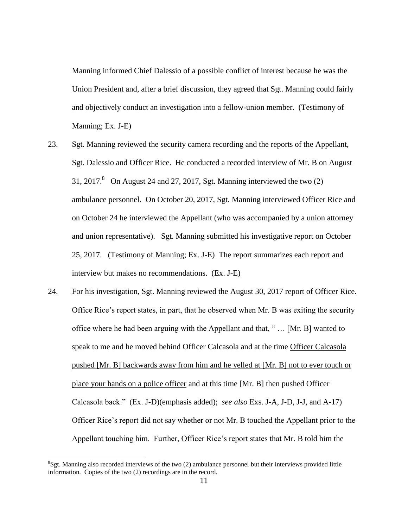Manning informed Chief Dalessio of a possible conflict of interest because he was the Union President and, after a brief discussion, they agreed that Sgt. Manning could fairly and objectively conduct an investigation into a fellow-union member. (Testimony of Manning; Ex. J-E)

- 23. Sgt. Manning reviewed the security camera recording and the reports of the Appellant, Sgt. Dalessio and Officer Rice. He conducted a recorded interview of Mr. B on August 31, 2017. $8$  On August 24 and 27, 2017, Sgt. Manning interviewed the two  $(2)$ ambulance personnel. On October 20, 2017, Sgt. Manning interviewed Officer Rice and on October 24 he interviewed the Appellant (who was accompanied by a union attorney and union representative). Sgt. Manning submitted his investigative report on October 25, 2017. (Testimony of Manning; Ex. J-E) The report summarizes each report and interview but makes no recommendations. (Ex. J-E)
- 24. For his investigation, Sgt. Manning reviewed the August 30, 2017 report of Officer Rice. Office Rice's report states, in part, that he observed when Mr. B was exiting the security office where he had been arguing with the Appellant and that, " … [Mr. B] wanted to speak to me and he moved behind Officer Calcasola and at the time Officer Calcasola pushed [Mr. B] backwards away from him and he yelled at [Mr. B] not to ever touch or place your hands on a police officer and at this time [Mr. B] then pushed Officer Calcasola back." (Ex. J-D)(emphasis added); *see also* Exs. J-A, J-D, J-J, and A-17) Officer Rice's report did not say whether or not Mr. B touched the Appellant prior to the Appellant touching him. Further, Officer Rice's report states that Mr. B told him the

 ${}^{8}$ Sgt. Manning also recorded interviews of the two (2) ambulance personnel but their interviews provided little information. Copies of the two (2) recordings are in the record.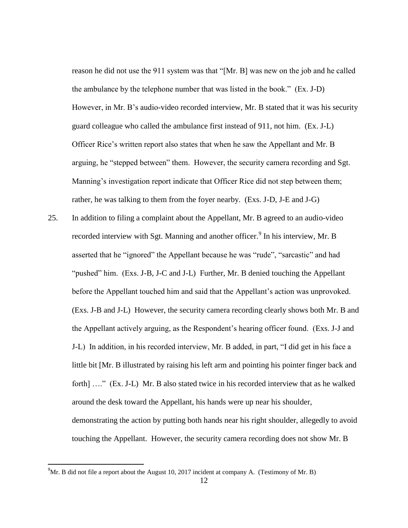reason he did not use the 911 system was that "[Mr. B] was new on the job and he called the ambulance by the telephone number that was listed in the book." (Ex. J-D) However, in Mr. B's audio-video recorded interview, Mr. B stated that it was his security guard colleague who called the ambulance first instead of 911, not him. (Ex. J-L) Officer Rice's written report also states that when he saw the Appellant and Mr. B arguing, he "stepped between" them. However, the security camera recording and Sgt. Manning's investigation report indicate that Officer Rice did not step between them; rather, he was talking to them from the foyer nearby. (Exs. J-D, J-E and J-G)

25. In addition to filing a complaint about the Appellant, Mr. B agreed to an audio-video recorded interview with Sgt. Manning and another officer.<sup>9</sup> In his interview, Mr. B asserted that he "ignored" the Appellant because he was "rude", "sarcastic" and had "pushed" him. (Exs. J-B, J-C and J-L) Further, Mr. B denied touching the Appellant before the Appellant touched him and said that the Appellant's action was unprovoked. (Exs. J-B and J-L) However, the security camera recording clearly shows both Mr. B and the Appellant actively arguing, as the Respondent's hearing officer found. (Exs. J-J and J-L) In addition, in his recorded interview, Mr. B added, in part, "I did get in his face a little bit [Mr. B illustrated by raising his left arm and pointing his pointer finger back and forth] ...." (Ex. J-L) Mr. B also stated twice in his recorded interview that as he walked around the desk toward the Appellant, his hands were up near his shoulder, demonstrating the action by putting both hands near his right shoulder, allegedly to avoid touching the Appellant. However, the security camera recording does not show Mr. B

 $^{9}$ Mr. B did not file a report about the August 10, 2017 incident at company A. (Testimony of Mr. B)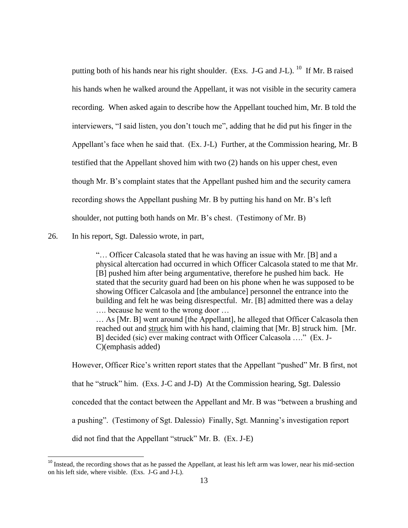putting both of his hands near his right shoulder. (Exs. J-G and J-L). <sup>10</sup> If Mr. B raised his hands when he walked around the Appellant, it was not visible in the security camera recording. When asked again to describe how the Appellant touched him, Mr. B told the interviewers, "I said listen, you don't touch me", adding that he did put his finger in the Appellant's face when he said that. (Ex. J-L) Further, at the Commission hearing, Mr. B testified that the Appellant shoved him with two (2) hands on his upper chest, even though Mr. B's complaint states that the Appellant pushed him and the security camera recording shows the Appellant pushing Mr. B by putting his hand on Mr. B's left shoulder, not putting both hands on Mr. B's chest. (Testimony of Mr. B)

26. In his report, Sgt. Dalessio wrote, in part,

l

"… Officer Calcasola stated that he was having an issue with Mr. [B] and a physical altercation had occurred in which Officer Calcasola stated to me that Mr. [B] pushed him after being argumentative, therefore he pushed him back. He stated that the security guard had been on his phone when he was supposed to be showing Officer Calcasola and [the ambulance] personnel the entrance into the building and felt he was being disrespectful. Mr. [B] admitted there was a delay …. because he went to the wrong door …

… As [Mr. B] went around [the Appellant], he alleged that Officer Calcasola then reached out and struck him with his hand, claiming that [Mr. B] struck him. [Mr. B] decided (sic) ever making contract with Officer Calcasola …." (Ex. J-C)(emphasis added)

However, Officer Rice's written report states that the Appellant "pushed" Mr. B first, not that he "struck" him. (Exs. J-C and J-D) At the Commission hearing, Sgt. Dalessio conceded that the contact between the Appellant and Mr. B was "between a brushing and a pushing". (Testimony of Sgt. Dalessio) Finally, Sgt. Manning's investigation report did not find that the Appellant "struck" Mr. B. (Ex. J-E)

 $10$  Instead, the recording shows that as he passed the Appellant, at least his left arm was lower, near his mid-section on his left side, where visible. (Exs. J-G and J-L).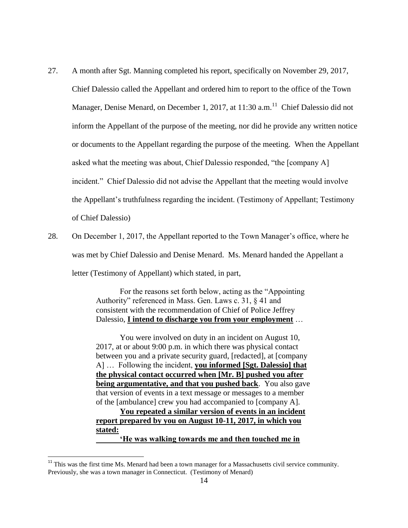- 27. A month after Sgt. Manning completed his report, specifically on November 29, 2017, Chief Dalessio called the Appellant and ordered him to report to the office of the Town Manager, Denise Menard, on December 1, 2017, at 11:30 a.m.<sup>11</sup> Chief Dalessio did not inform the Appellant of the purpose of the meeting, nor did he provide any written notice or documents to the Appellant regarding the purpose of the meeting. When the Appellant asked what the meeting was about, Chief Dalessio responded, "the [company A] incident." Chief Dalessio did not advise the Appellant that the meeting would involve the Appellant's truthfulness regarding the incident. (Testimony of Appellant; Testimony of Chief Dalessio)
- 28. On December 1, 2017, the Appellant reported to the Town Manager's office, where he was met by Chief Dalessio and Denise Menard. Ms. Menard handed the Appellant a letter (Testimony of Appellant) which stated, in part,

For the reasons set forth below, acting as the "Appointing Authority" referenced in Mass. Gen. Laws c. 31, § 41 and consistent with the recommendation of Chief of Police Jeffrey Dalessio, **I intend to discharge you from your employment** …

You were involved on duty in an incident on August 10, 2017, at or about 9:00 p.m. in which there was physical contact between you and a private security guard, [redacted], at [company A] … Following the incident, **you informed [Sgt. Dalessio] that the physical contact occurred when [Mr. B] pushed you after being argumentative, and that you pushed back**. You also gave that version of events in a text message or messages to a member of the [ambulance] crew you had accompanied to [company A].

**You repeated a similar version of events in an incident report prepared by you on August 10-11, 2017, in which you stated:**

**'He was walking towards me and then touched me in** 

l

 $11$  This was the first time Ms. Menard had been a town manager for a Massachusetts civil service community. Previously, she was a town manager in Connecticut. (Testimony of Menard)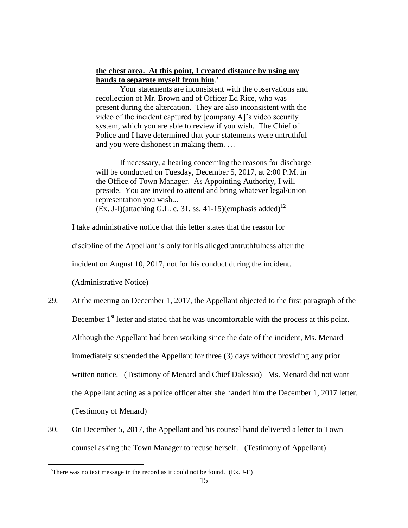# **the chest area. At this point, I created distance by using my hands to separate myself from him**.'

Your statements are inconsistent with the observations and recollection of Mr. Brown and of Officer Ed Rice, who was present during the altercation. They are also inconsistent with the video of the incident captured by [company A]'s video security system, which you are able to review if you wish. The Chief of Police and I have determined that your statements were untruthful and you were dishonest in making them. …

If necessary, a hearing concerning the reasons for discharge will be conducted on Tuesday, December 5, 2017, at 2:00 P.M. in the Office of Town Manager. As Appointing Authority, I will preside. You are invited to attend and bring whatever legal/union representation you wish... (Ex. J-I)(attaching G.L. c. 31, ss. 41-15)(emphasis added)<sup>12</sup>

I take administrative notice that this letter states that the reason for

discipline of the Appellant is only for his alleged untruthfulness after the

incident on August 10, 2017, not for his conduct during the incident.

(Administrative Notice)

- 29. At the meeting on December 1, 2017, the Appellant objected to the first paragraph of the December 1<sup>st</sup> letter and stated that he was uncomfortable with the process at this point. Although the Appellant had been working since the date of the incident, Ms. Menard immediately suspended the Appellant for three (3) days without providing any prior written notice. (Testimony of Menard and Chief Dalessio) Ms. Menard did not want the Appellant acting as a police officer after she handed him the December 1, 2017 letter. (Testimony of Menard)
- 30. On December 5, 2017, the Appellant and his counsel hand delivered a letter to Town counsel asking the Town Manager to recuse herself. (Testimony of Appellant)

<sup>&</sup>lt;sup>12</sup>There was no text message in the record as it could not be found. (Ex. J-E)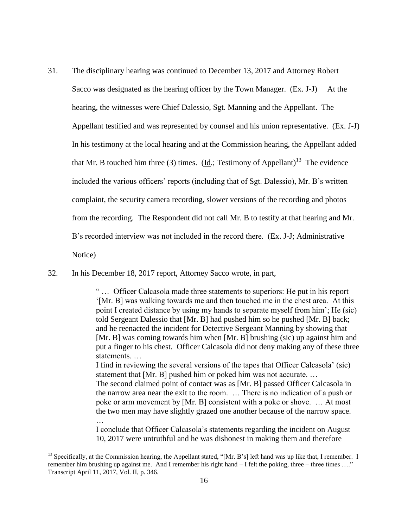31. The disciplinary hearing was continued to December 13, 2017 and Attorney Robert Sacco was designated as the hearing officer by the Town Manager. (Ex. J-J) At the hearing, the witnesses were Chief Dalessio, Sgt. Manning and the Appellant. The Appellant testified and was represented by counsel and his union representative. (Ex. J-J) In his testimony at the local hearing and at the Commission hearing, the Appellant added that Mr. B touched him three (3) times. (Id.; Testimony of Appellant)<sup>13</sup> The evidence included the various officers' reports (including that of Sgt. Dalessio), Mr. B's written complaint, the security camera recording, slower versions of the recording and photos from the recording. The Respondent did not call Mr. B to testify at that hearing and Mr. B's recorded interview was not included in the record there. (Ex. J-J; Administrative Notice)

32. In his December 18, 2017 report, Attorney Sacco wrote, in part,

…

 $\overline{\phantom{a}}$ 

" … Officer Calcasola made three statements to superiors: He put in his report '[Mr. B] was walking towards me and then touched me in the chest area. At this point I created distance by using my hands to separate myself from him'; He (sic) told Sergeant Dalessio that [Mr. B] had pushed him so he pushed [Mr. B] back; and he reenacted the incident for Detective Sergeant Manning by showing that [Mr. B] was coming towards him when [Mr. B] brushing (sic) up against him and put a finger to his chest. Officer Calcasola did not deny making any of these three statements. …

I find in reviewing the several versions of the tapes that Officer Calcasola' (sic) statement that [Mr. B] pushed him or poked him was not accurate. … The second claimed point of contact was as [Mr. B] passed Officer Calcasola in the narrow area near the exit to the room. … There is no indication of a push or poke or arm movement by [Mr. B] consistent with a poke or shove. … At most the two men may have slightly grazed one another because of the narrow space.

I conclude that Officer Calcasola's statements regarding the incident on August 10, 2017 were untruthful and he was dishonest in making them and therefore

<sup>&</sup>lt;sup>13</sup> Specifically, at the Commission hearing, the Appellant stated, "[Mr. B's] left hand was up like that, I remember. I remember him brushing up against me. And I remember his right hand  $-\dot{I}$  felt the poking, three – three times ...." Transcript April 11, 2017, Vol. II, p. 346.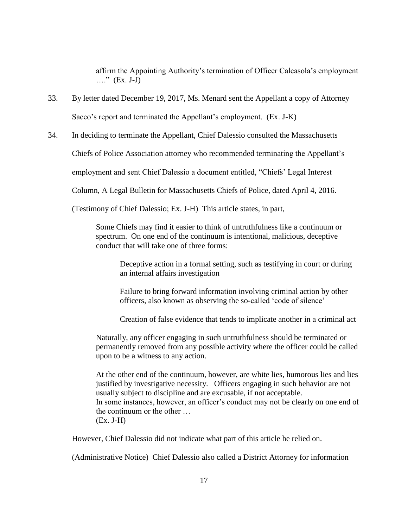affirm the Appointing Authority's termination of Officer Calcasola's employment …." (Ex. J-J)

- 33. By letter dated December 19, 2017, Ms. Menard sent the Appellant a copy of Attorney Sacco's report and terminated the Appellant's employment. (Ex. J-K)
- 34. In deciding to terminate the Appellant, Chief Dalessio consulted the Massachusetts

Chiefs of Police Association attorney who recommended terminating the Appellant's

employment and sent Chief Dalessio a document entitled, "Chiefs' Legal Interest

Column, A Legal Bulletin for Massachusetts Chiefs of Police, dated April 4, 2016.

(Testimony of Chief Dalessio; Ex. J-H) This article states, in part,

Some Chiefs may find it easier to think of untruthfulness like a continuum or spectrum. On one end of the continuum is intentional, malicious, deceptive conduct that will take one of three forms:

Deceptive action in a formal setting, such as testifying in court or during an internal affairs investigation

Failure to bring forward information involving criminal action by other officers, also known as observing the so-called 'code of silence'

Creation of false evidence that tends to implicate another in a criminal act

Naturally, any officer engaging in such untruthfulness should be terminated or permanently removed from any possible activity where the officer could be called upon to be a witness to any action.

At the other end of the continuum, however, are white lies, humorous lies and lies justified by investigative necessity. Officers engaging in such behavior are not usually subject to discipline and are excusable, if not acceptable. In some instances, however, an officer's conduct may not be clearly on one end of the continuum or the other … (Ex. J-H)

However, Chief Dalessio did not indicate what part of this article he relied on.

(Administrative Notice) Chief Dalessio also called a District Attorney for information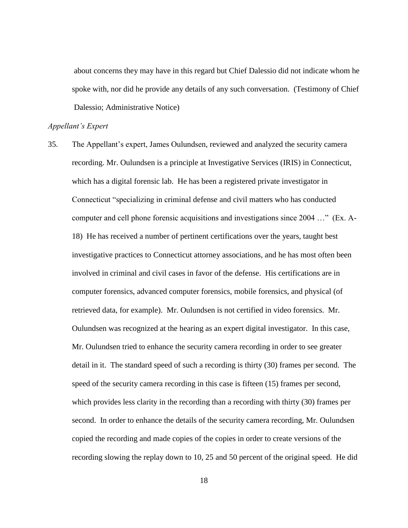about concerns they may have in this regard but Chief Dalessio did not indicate whom he spoke with, nor did he provide any details of any such conversation. (Testimony of Chief Dalessio; Administrative Notice)

#### *Appellant's Expert*

35. The Appellant's expert, James Oulundsen, reviewed and analyzed the security camera recording. Mr. Oulundsen is a principle at Investigative Services (IRIS) in Connecticut, which has a digital forensic lab. He has been a registered private investigator in Connecticut "specializing in criminal defense and civil matters who has conducted computer and cell phone forensic acquisitions and investigations since 2004 …" (Ex. A-18) He has received a number of pertinent certifications over the years, taught best investigative practices to Connecticut attorney associations, and he has most often been involved in criminal and civil cases in favor of the defense. His certifications are in computer forensics, advanced computer forensics, mobile forensics, and physical (of retrieved data, for example). Mr. Oulundsen is not certified in video forensics. Mr. Oulundsen was recognized at the hearing as an expert digital investigator. In this case, Mr. Oulundsen tried to enhance the security camera recording in order to see greater detail in it. The standard speed of such a recording is thirty (30) frames per second. The speed of the security camera recording in this case is fifteen (15) frames per second, which provides less clarity in the recording than a recording with thirty (30) frames per second. In order to enhance the details of the security camera recording, Mr. Oulundsen copied the recording and made copies of the copies in order to create versions of the recording slowing the replay down to 10, 25 and 50 percent of the original speed. He did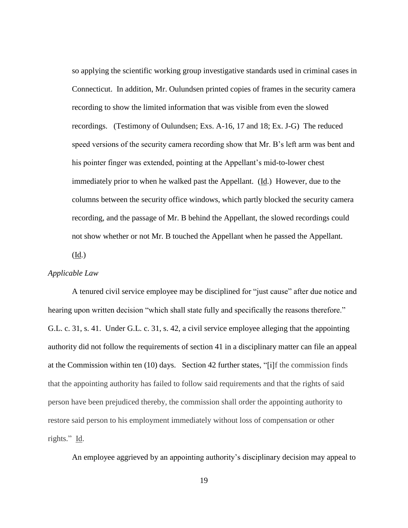so applying the scientific working group investigative standards used in criminal cases in Connecticut. In addition, Mr. Oulundsen printed copies of frames in the security camera recording to show the limited information that was visible from even the slowed recordings. (Testimony of Oulundsen; Exs. A-16, 17 and 18; Ex. J-G) The reduced speed versions of the security camera recording show that Mr. B's left arm was bent and his pointer finger was extended, pointing at the Appellant's mid-to-lower chest immediately prior to when he walked past the Appellant. (Id.) However, due to the columns between the security office windows, which partly blocked the security camera recording, and the passage of Mr. B behind the Appellant, the slowed recordings could not show whether or not Mr. B touched the Appellant when he passed the Appellant.

(Id.)

### *Applicable Law*

A tenured civil service employee may be disciplined for "just cause" after due notice and hearing upon written decision "which shall state fully and specifically the reasons therefore." G.L. c. 31, s. 41. Under G.L. c. 31, s. 42, a civil service employee alleging that the appointing authority did not follow the requirements of section 41 in a disciplinary matter can file an appeal at the Commission within ten (10) days. Section 42 further states, "[i]f the commission finds that the appointing authority has failed to follow said requirements and that the rights of said person have been prejudiced thereby, the commission shall order the appointing authority to restore said person to his employment immediately without loss of compensation or other rights." Id.

An employee aggrieved by an appointing authority's disciplinary decision may appeal to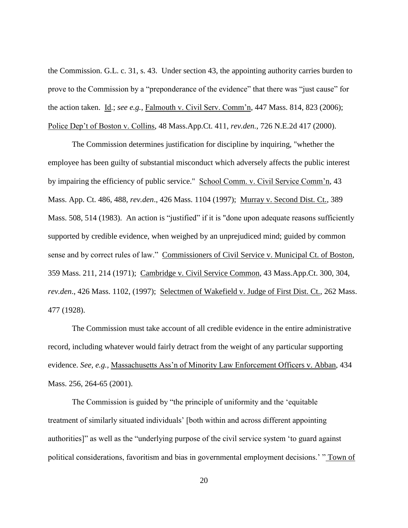the Commission. G.L. c. 31, s. 43. Under section 43, the appointing authority carries burden to prove to the Commission by a "preponderance of the evidence" that there was "just cause" for the action taken. Id.; *see e.g.*, Falmouth v. Civil Serv. Comm'n, 447 Mass. 814, 823 (2006); Police Dep't of Boston v. Collins, 48 Mass.App.Ct. 411, *rev.den.*, 726 N.E.2d 417 (2000).

The Commission determines justification for discipline by inquiring, "whether the employee has been guilty of substantial misconduct which adversely affects the public interest by impairing the efficiency of public service." School Comm. v. Civil Service Comm'n, 43 Mass. App. Ct. 486, 488, *rev.den*., 426 Mass. 1104 (1997); Murray v. Second Dist. Ct., 389 Mass. 508, 514 (1983). An action is "justified" if it is "done upon adequate reasons sufficiently supported by credible evidence, when weighed by an unprejudiced mind; guided by common sense and by correct rules of law." Commissioners of Civil Service v. Municipal Ct. of Boston, 359 Mass. 211, 214 (1971); Cambridge v. Civil Service Common, 43 Mass.App.Ct. 300, 304, *rev.den*., 426 Mass. 1102, (1997); Selectmen of Wakefield v. Judge of First Dist. Ct., 262 Mass. 477 (1928).

The Commission must take account of all credible evidence in the entire administrative record, including whatever would fairly detract from the weight of any particular supporting evidence. *See, e.g.,* Massachusetts Ass'n of Minority Law Enforcement Officers v. Abban, 434 Mass. 256, 264-65 (2001).

The Commission is guided by "the principle of uniformity and the 'equitable treatment of similarly situated individuals' [both within and across different appointing authorities]" as well as the "underlying purpose of the civil service system 'to guard against political considerations, favoritism and bias in governmental employment decisions.' " Town of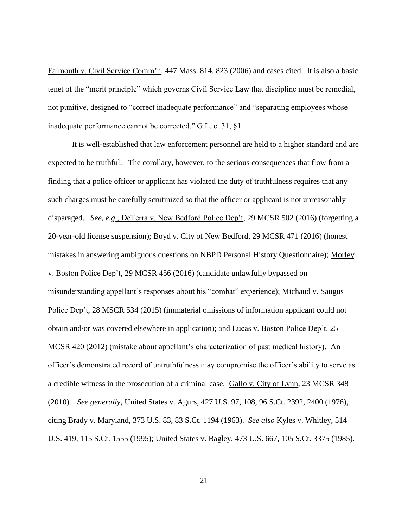Falmouth v. Civil Service Comm'n, 447 Mass. 814, 823 (2006) and cases cited. It is also a basic tenet of the "merit principle" which governs Civil Service Law that discipline must be remedial, not punitive, designed to "correct inadequate performance" and "separating employees whose inadequate performance cannot be corrected." G.L. c. 31, §1.

It is well-established that law enforcement personnel are held to a higher standard and are expected to be truthful. The corollary, however, to the serious consequences that flow from a finding that a police officer or applicant has violated the duty of truthfulness requires that any such charges must be carefully scrutinized so that the officer or applicant is not unreasonably disparaged. *See, e.g*., DeTerra v. New Bedford Police Dep't, 29 MCSR 502 (2016) (forgetting a 20-year-old license suspension); Boyd v. City of New Bedford, 29 MCSR 471 (2016) (honest mistakes in answering ambiguous questions on NBPD Personal History Questionnaire); Morley v. Boston Police Dep't, 29 MCSR 456 (2016) (candidate unlawfully bypassed on misunderstanding appellant's responses about his "combat" experience); Michaud v. Saugus Police Dep't, 28 MSCR 534 (2015) (immaterial omissions of information applicant could not obtain and/or was covered elsewhere in application); and Lucas v. Boston Police Dep't, 25 MCSR 420 (2012) (mistake about appellant's characterization of past medical history). An officer's demonstrated record of untruthfulness may compromise the officer's ability to serve as a credible witness in the prosecution of a criminal case. Gallo v. City of Lynn, 23 MCSR 348 (2010). *See generally*, United States v. Agurs, 427 U.S. 97, 108, 96 S.Ct. 2392, 2400 (1976), citing Brady v. Maryland, 373 U.S. 83, 83 S.Ct. 1194 (1963). *See also* Kyles v. Whitley, 514 U.S. 419, 115 S.Ct. 1555 (1995); United States v. Bagley, 473 U.S. 667, 105 S.Ct. 3375 (1985).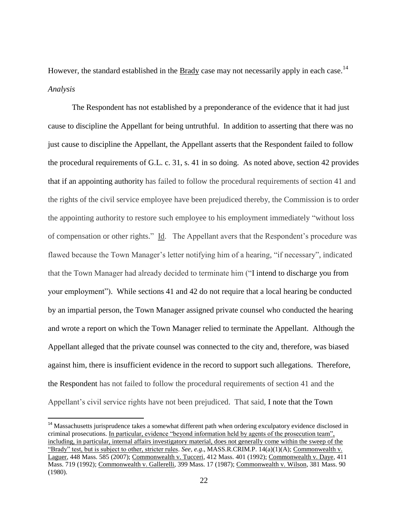However, the standard established in the Brady case may not necessarily apply in each case.<sup>14</sup> *Analysis* 

The Respondent has not established by a preponderance of the evidence that it had just cause to discipline the Appellant for being untruthful. In addition to asserting that there was no just cause to discipline the Appellant, the Appellant asserts that the Respondent failed to follow the procedural requirements of G.L. c. 31, s. 41 in so doing. As noted above, section 42 provides that if an appointing authority has failed to follow the procedural requirements of section 41 and the rights of the civil service employee have been prejudiced thereby, the Commission is to order the appointing authority to restore such employee to his employment immediately "without loss of compensation or other rights." Id. The Appellant avers that the Respondent's procedure was flawed because the Town Manager's letter notifying him of a hearing, "if necessary", indicated that the Town Manager had already decided to terminate him ("I intend to discharge you from your employment"). While sections 41 and 42 do not require that a local hearing be conducted by an impartial person, the Town Manager assigned private counsel who conducted the hearing and wrote a report on which the Town Manager relied to terminate the Appellant. Although the Appellant alleged that the private counsel was connected to the city and, therefore, was biased against him, there is insufficient evidence in the record to support such allegations. Therefore, the Respondent has not failed to follow the procedural requirements of section 41 and the Appellant's civil service rights have not been prejudiced. That said, I note that the Town

<sup>&</sup>lt;sup>14</sup> Massachusetts jurisprudence takes a somewhat different path when ordering exculpatory evidence disclosed in criminal prosecutions. In particular, evidence "beyond information held by agents of the prosecution team", including, in particular, internal affairs investigatory material, does not generally come within the sweep of the "Brady" test, but is subject to other, stricter rules. *See, e.g*., MASS.R.CRIM.P. 14(a)(1)(A); Commonwealth v. Laguer, 448 Mass. 585 (2007); Commonwealth v. Tucceri, 412 Mass. 401 (1992); Commonwealth v. Daye, 411 Mass. 719 (1992); Commonwealth v. Gallerelli, 399 Mass. 17 (1987); Commonwealth v. Wilson, 381 Mass. 90 (1980).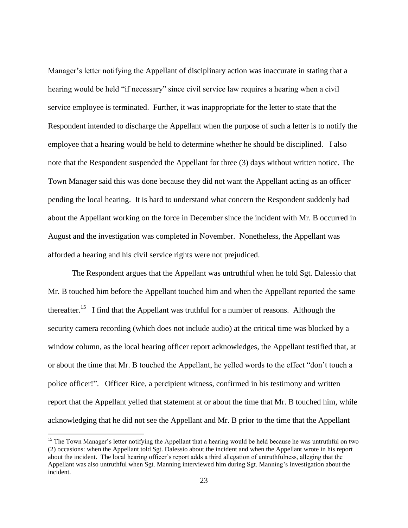Manager's letter notifying the Appellant of disciplinary action was inaccurate in stating that a hearing would be held "if necessary" since civil service law requires a hearing when a civil service employee is terminated. Further, it was inappropriate for the letter to state that the Respondent intended to discharge the Appellant when the purpose of such a letter is to notify the employee that a hearing would be held to determine whether he should be disciplined. I also note that the Respondent suspended the Appellant for three (3) days without written notice. The Town Manager said this was done because they did not want the Appellant acting as an officer pending the local hearing. It is hard to understand what concern the Respondent suddenly had about the Appellant working on the force in December since the incident with Mr. B occurred in August and the investigation was completed in November. Nonetheless, the Appellant was afforded a hearing and his civil service rights were not prejudiced.

The Respondent argues that the Appellant was untruthful when he told Sgt. Dalessio that Mr. B touched him before the Appellant touched him and when the Appellant reported the same thereafter.<sup>15</sup> I find that the Appellant was truthful for a number of reasons. Although the security camera recording (which does not include audio) at the critical time was blocked by a window column, as the local hearing officer report acknowledges, the Appellant testified that, at or about the time that Mr. B touched the Appellant, he yelled words to the effect "don't touch a police officer!". Officer Rice, a percipient witness, confirmed in his testimony and written report that the Appellant yelled that statement at or about the time that Mr. B touched him, while acknowledging that he did not see the Appellant and Mr. B prior to the time that the Appellant

 $\overline{a}$ 

<sup>&</sup>lt;sup>15</sup> The Town Manager's letter notifying the Appellant that a hearing would be held because he was untruthful on two (2) occasions: when the Appellant told Sgt. Dalessio about the incident and when the Appellant wrote in his report about the incident. The local hearing officer's report adds a third allegation of untruthfulness, alleging that the Appellant was also untruthful when Sgt. Manning interviewed him during Sgt. Manning's investigation about the incident.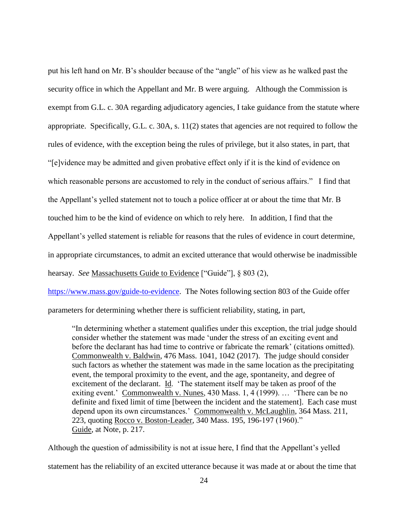put his left hand on Mr. B's shoulder because of the "angle" of his view as he walked past the security office in which the Appellant and Mr. B were arguing. Although the Commission is exempt from G.L. c. 30A regarding adjudicatory agencies, I take guidance from the statute where appropriate. Specifically, G.L. c. 30A, s. 11(2) states that agencies are not required to follow the rules of evidence, with the exception being the rules of privilege, but it also states, in part, that "[e]vidence may be admitted and given probative effect only if it is the kind of evidence on which reasonable persons are accustomed to rely in the conduct of serious affairs." I find that the Appellant's yelled statement not to touch a police officer at or about the time that Mr. B touched him to be the kind of evidence on which to rely here. In addition, I find that the Appellant's yelled statement is reliable for reasons that the rules of evidence in court determine, in appropriate circumstances, to admit an excited utterance that would otherwise be inadmissible hearsay. *See* Massachusetts Guide to Evidence ["Guide"], § 803 (2),

[https://www.mass.gov/guide-to-evidence.](https://www.mass.gov/guide-to-evidence) The Notes following section 803 of the Guide offer

parameters for determining whether there is sufficient reliability, stating, in part,

"In determining whether a statement qualifies under this exception, the trial judge should consider whether the statement was made 'under the stress of an exciting event and before the declarant has had time to contrive or fabricate the remark' (citations omitted). Commonwealth v. Baldwin, 476 Mass. 1041, 1042 (2017). The judge should consider such factors as whether the statement was made in the same location as the precipitating event, the temporal proximity to the event, and the age, spontaneity, and degree of excitement of the declarant. Id. 'The statement itself may be taken as proof of the exiting event.' Commonwealth v. Nunes, 430 Mass. 1, 4 (1999). … 'There can be no definite and fixed limit of time [between the incident and the statement]. Each case must depend upon its own circumstances.' Commonwealth v. McLaughlin, 364 Mass. 211, 223, quoting Rocco v. Boston-Leader, 340 Mass. 195, 196-197 (1960)." Guide, at Note, p. 217.

Although the question of admissibility is not at issue here, I find that the Appellant's yelled statement has the reliability of an excited utterance because it was made at or about the time that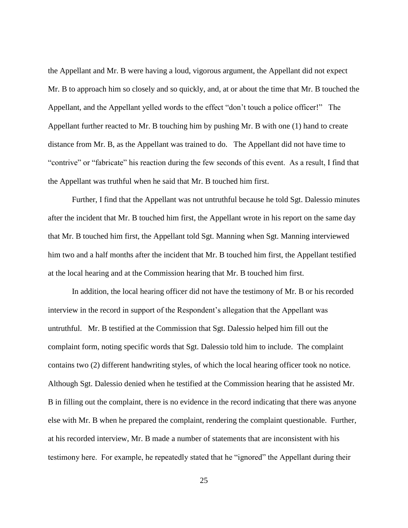the Appellant and Mr. B were having a loud, vigorous argument, the Appellant did not expect Mr. B to approach him so closely and so quickly, and, at or about the time that Mr. B touched the Appellant, and the Appellant yelled words to the effect "don't touch a police officer!" The Appellant further reacted to Mr. B touching him by pushing Mr. B with one (1) hand to create distance from Mr. B, as the Appellant was trained to do. The Appellant did not have time to "contrive" or "fabricate" his reaction during the few seconds of this event. As a result, I find that the Appellant was truthful when he said that Mr. B touched him first.

Further, I find that the Appellant was not untruthful because he told Sgt. Dalessio minutes after the incident that Mr. B touched him first, the Appellant wrote in his report on the same day that Mr. B touched him first, the Appellant told Sgt. Manning when Sgt. Manning interviewed him two and a half months after the incident that Mr. B touched him first, the Appellant testified at the local hearing and at the Commission hearing that Mr. B touched him first.

In addition, the local hearing officer did not have the testimony of Mr. B or his recorded interview in the record in support of the Respondent's allegation that the Appellant was untruthful. Mr. B testified at the Commission that Sgt. Dalessio helped him fill out the complaint form, noting specific words that Sgt. Dalessio told him to include. The complaint contains two (2) different handwriting styles, of which the local hearing officer took no notice. Although Sgt. Dalessio denied when he testified at the Commission hearing that he assisted Mr. B in filling out the complaint, there is no evidence in the record indicating that there was anyone else with Mr. B when he prepared the complaint, rendering the complaint questionable. Further, at his recorded interview, Mr. B made a number of statements that are inconsistent with his testimony here. For example, he repeatedly stated that he "ignored" the Appellant during their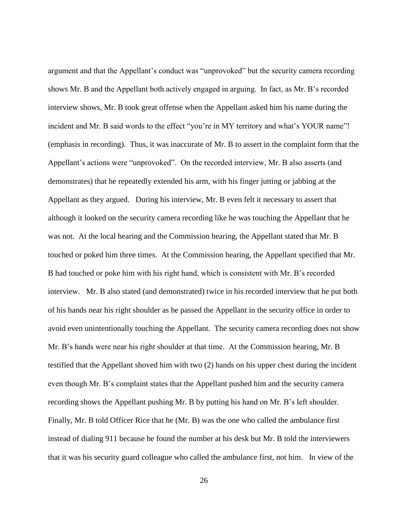argument and that the Appellant's conduct was "unprovoked" but the security camera recording shows Mr. B and the Appellant both actively engaged in arguing. In fact, as Mr. B's recorded interview shows, Mr. B took great offense when the Appellant asked him his name during the incident and Mr. B said words to the effect "you're in MY territory and what's YOUR name"! (emphasis in recording). Thus, it was inaccurate of Mr. B to assert in the complaint form that the Appellant's actions were "unprovoked". On the recorded interview, Mr. B also asserts (and demonstrates) that he repeatedly extended his arm, with his finger jutting or jabbing at the Appellant as they argued. During his interview, Mr. B even felt it necessary to assert that although it looked on the security camera recording like he was touching the Appellant that he was not. At the local hearing and the Commission hearing, the Appellant stated that Mr. B touched or poked him three times. At the Commission hearing, the Appellant specified that Mr. B had touched or poke him with his right hand, which is consistent with Mr. B's recorded interview. Mr. B also stated (and demonstrated) twice in his recorded interview that he put both of his hands near his right shoulder as he passed the Appellant in the security office in order to avoid even unintentionally touching the Appellant. The security camera recording does not show Mr. B's hands were near his right shoulder at that time. At the Commission hearing, Mr. B testified that the Appellant shoved him with two (2) hands on his upper chest during the incident even though Mr. B's complaint states that the Appellant pushed him and the security camera recording shows the Appellant pushing Mr. B by putting his hand on Mr. B's left shoulder. Finally, Mr. B told Officer Rice that he (Mr. B) was the one who called the ambulance first instead of dialing 911 because he found the number at his desk but Mr. B told the interviewers that it was his security guard colleague who called the ambulance first, not him. In view of the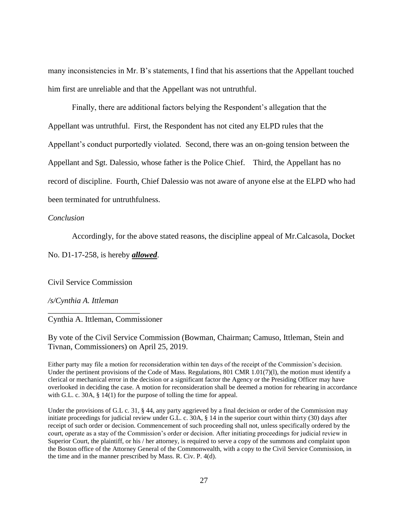many inconsistencies in Mr. B's statements, I find that his assertions that the Appellant touched him first are unreliable and that the Appellant was not untruthful.

Finally, there are additional factors belying the Respondent's allegation that the Appellant was untruthful. First, the Respondent has not cited any ELPD rules that the Appellant's conduct purportedly violated. Second, there was an on-going tension between the Appellant and Sgt. Dalessio, whose father is the Police Chief. Third, the Appellant has no record of discipline. Fourth, Chief Dalessio was not aware of anyone else at the ELPD who had been terminated for untruthfulness.

### *Conclusion*

Accordingly, for the above stated reasons, the discipline appeal of Mr.Calcasola, Docket

No. D1-17-258, is hereby *allowed*.

Civil Service Commission

\_\_\_\_\_\_\_\_\_\_\_\_\_\_\_\_\_\_\_\_\_\_\_

*/s/Cynthia A. Ittleman*

Cynthia A. Ittleman, Commissioner

By vote of the Civil Service Commission (Bowman, Chairman; Camuso, Ittleman, Stein and Tivnan, Commissioners) on April 25, 2019.

Either party may file a motion for reconsideration within ten days of the receipt of the Commission's decision. Under the pertinent provisions of the Code of Mass. Regulations, 801 CMR  $1.01(7)(1)$ , the motion must identify a clerical or mechanical error in the decision or a significant factor the Agency or the Presiding Officer may have overlooked in deciding the case. A motion for reconsideration shall be deemed a motion for rehearing in accordance with G.L. c. 30A, § 14(1) for the purpose of tolling the time for appeal.

Under the provisions of G.L c. 31, § 44, any party aggrieved by a final decision or order of the Commission may initiate proceedings for judicial review under G.L. c. 30A, § 14 in the superior court within thirty (30) days after receipt of such order or decision. Commencement of such proceeding shall not, unless specifically ordered by the court, operate as a stay of the Commission's order or decision. After initiating proceedings for judicial review in Superior Court, the plaintiff, or his / her attorney, is required to serve a copy of the summons and complaint upon the Boston office of the Attorney General of the Commonwealth, with a copy to the Civil Service Commission, in the time and in the manner prescribed by Mass. R. Civ. P. 4(d).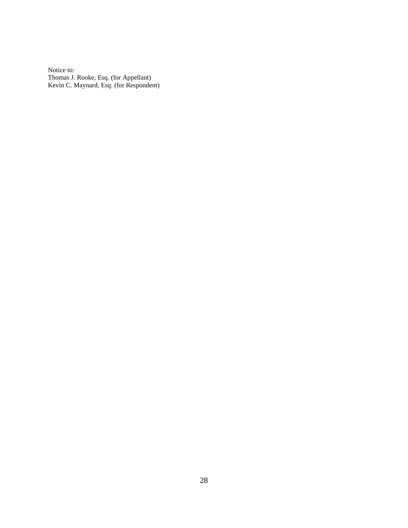Notice to: Thomas J. Rooke, Esq. (for Appellant) Kevin C. Maynard, Esq. (for Respondent)